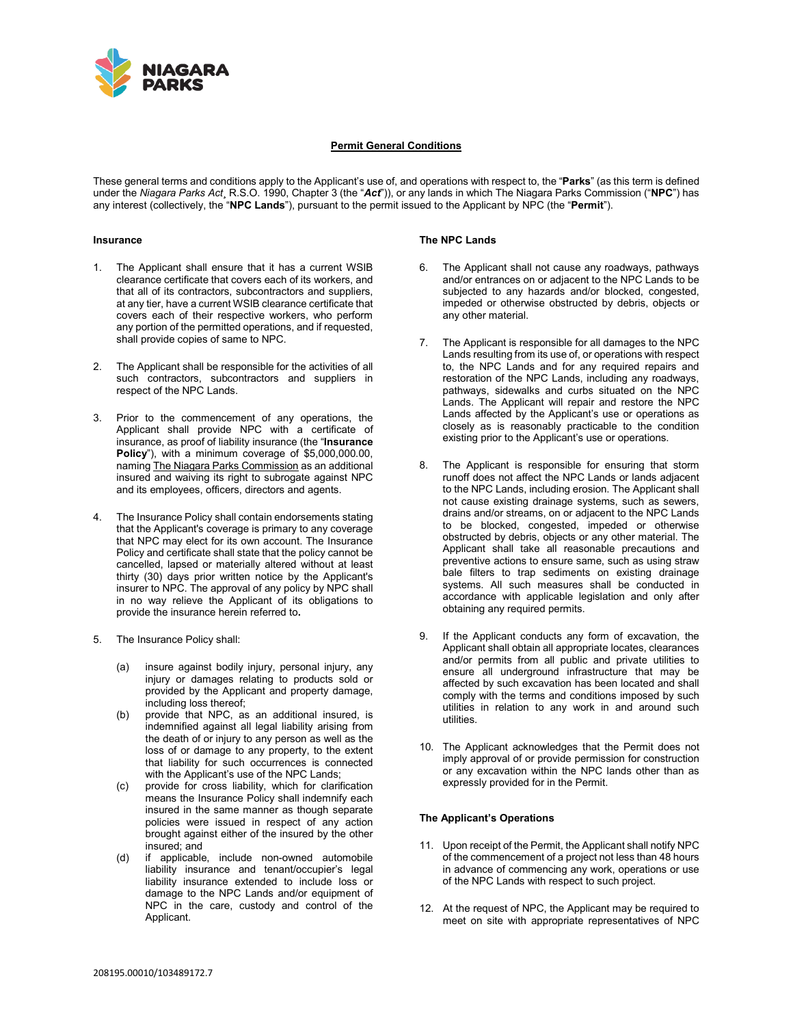

## **Permit General Conditions**

These general terms and conditions apply to the Applicant's use of, and operations with respect to, the "**Parks**" (as this term is defined under the *Niagara Parks Act*¸ R.S.O. 1990, Chapter 3 (the "*Act*")), or any lands in which The Niagara Parks Commission ("**NPC**") has any interest (collectively, the "**NPC Lands**"), pursuant to the permit issued to the Applicant by NPC (the "**Permit**").

## **Insurance**

- 1. The Applicant shall ensure that it has a current WSIB clearance certificate that covers each of its workers, and that all of its contractors, subcontractors and suppliers, at any tier, have a current WSIB clearance certificate that covers each of their respective workers, who perform any portion of the permitted operations, and if requested, shall provide copies of same to NPC.
- 2. The Applicant shall be responsible for the activities of all such contractors, subcontractors and suppliers in respect of the NPC Lands.
- 3. Prior to the commencement of any operations, the Applicant shall provide NPC with a certificate of insurance, as proof of liability insurance (the "**Insurance Policy**"), with a minimum coverage of \$5,000,000.00, naming The Niagara Parks Commission as an additional insured and waiving its right to subrogate against NPC and its employees, officers, directors and agents.
- 4. The Insurance Policy shall contain endorsements stating that the Applicant's coverage is primary to any coverage that NPC may elect for its own account. The Insurance Policy and certificate shall state that the policy cannot be cancelled, lapsed or materially altered without at least thirty (30) days prior written notice by the Applicant's insurer to NPC. The approval of any policy by NPC shall in no way relieve the Applicant of its obligations to provide the insurance herein referred to**.**
- The Insurance Policy shall:
	- (a) insure against bodily injury, personal injury, any injury or damages relating to products sold or provided by the Applicant and property damage, including loss thereof;
	- (b) provide that NPC, as an additional insured, is indemnified against all legal liability arising from the death of or injury to any person as well as the loss of or damage to any property, to the extent that liability for such occurrences is connected with the Applicant's use of the NPC Lands;
	- (c) provide for cross liability, which for clarification means the Insurance Policy shall indemnify each insured in the same manner as though separate policies were issued in respect of any action brought against either of the insured by the other insured; and
	- (d) if applicable, include non-owned automobile liability insurance and tenant/occupier's legal liability insurance extended to include loss or damage to the NPC Lands and/or equipment of NPC in the care, custody and control of the Applicant.

#### **The NPC Lands**

- 6. The Applicant shall not cause any roadways, pathways and/or entrances on or adjacent to the NPC Lands to be subjected to any hazards and/or blocked, congested, impeded or otherwise obstructed by debris, objects or any other material.
- 7. The Applicant is responsible for all damages to the NPC Lands resulting from its use of, or operations with respect to, the NPC Lands and for any required repairs and restoration of the NPC Lands, including any roadways, pathways, sidewalks and curbs situated on the NPC Lands. The Applicant will repair and restore the NPC Lands affected by the Applicant's use or operations as closely as is reasonably practicable to the condition existing prior to the Applicant's use or operations.
- 8. The Applicant is responsible for ensuring that storm runoff does not affect the NPC Lands or lands adjacent to the NPC Lands, including erosion. The Applicant shall not cause existing drainage systems, such as sewers, drains and/or streams, on or adjacent to the NPC Lands to be blocked, congested, impeded or otherwise obstructed by debris, objects or any other material. The Applicant shall take all reasonable precautions and preventive actions to ensure same, such as using straw bale filters to trap sediments on existing drainage systems. All such measures shall be conducted in accordance with applicable legislation and only after obtaining any required permits.
- 9. If the Applicant conducts any form of excavation, the Applicant shall obtain all appropriate locates, clearances and/or permits from all public and private utilities to ensure all underground infrastructure that may be affected by such excavation has been located and shall comply with the terms and conditions imposed by such utilities in relation to any work in and around such utilities.
- 10. The Applicant acknowledges that the Permit does not imply approval of or provide permission for construction or any excavation within the NPC lands other than as expressly provided for in the Permit.

# **The Applicant's Operations**

- 11. Upon receipt of the Permit, the Applicant shall notify NPC of the commencement of a project not less than 48 hours in advance of commencing any work, operations or use of the NPC Lands with respect to such project.
- 12. At the request of NPC, the Applicant may be required to meet on site with appropriate representatives of NPC